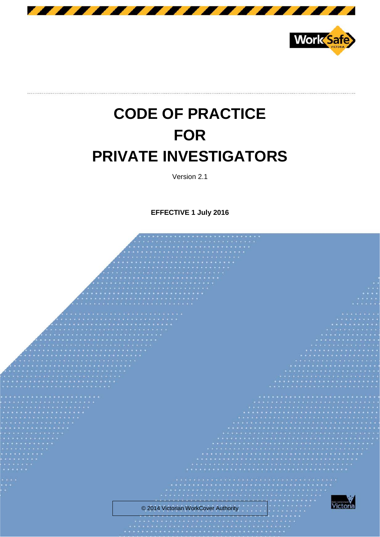



# **CODE OF PRACTICE FOR PRIVATE INVESTIGATORS**

Version 2.1

**EFFECTIVE 1 July 2016**

© 2014 Victorian WorkCover Authority

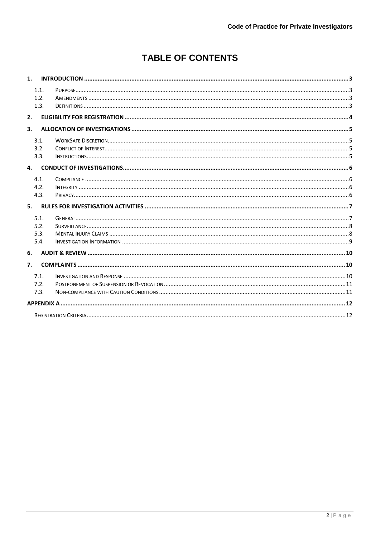# **TABLE OF CONTENTS**

| 1.           |  |
|--------------|--|
| 1.1.<br>1.2. |  |
| 1.3.         |  |
| 2.           |  |
| 3.           |  |
| 3.1.         |  |
| 3.2.         |  |
| 3.3.         |  |
| 4.           |  |
| 4.1.         |  |
| 4.2.         |  |
| 4.3.         |  |
| 5.           |  |
| 5.1.         |  |
| 5.2.         |  |
| 5.3.         |  |
| 5.4.         |  |
| 6.           |  |
| 7.           |  |
| 7.1.         |  |
| 7.2.         |  |
| 7.3.         |  |
|              |  |
|              |  |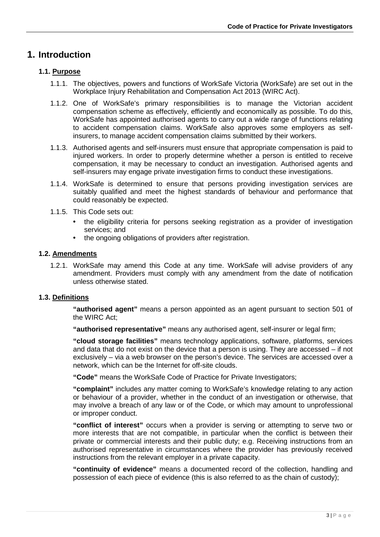## <span id="page-2-0"></span>**1. Introduction**

## <span id="page-2-1"></span>**1.1. Purpose**

- 1.1.1. The objectives, powers and functions of WorkSafe Victoria (WorkSafe) are set out in the Workplace Injury Rehabilitation and Compensation Act 2013 (WIRC Act).
- 1.1.2. One of WorkSafe's primary responsibilities is to manage the Victorian accident compensation scheme as effectively, efficiently and economically as possible. To do this, WorkSafe has appointed authorised agents to carry out a wide range of functions relating to accident compensation claims. WorkSafe also approves some employers as selfinsurers, to manage accident compensation claims submitted by their workers.
- 1.1.3. Authorised agents and self-insurers must ensure that appropriate compensation is paid to injured workers. In order to properly determine whether a person is entitled to receive compensation, it may be necessary to conduct an investigation. Authorised agents and self-insurers may engage private investigation firms to conduct these investigations.
- 1.1.4. WorkSafe is determined to ensure that persons providing investigation services are suitably qualified and meet the highest standards of behaviour and performance that could reasonably be expected.
- 1.1.5. This Code sets out:
	- the eligibility criteria for persons seeking registration as a provider of investigation services; and
	- the ongoing obligations of providers after registration.

## <span id="page-2-2"></span>**1.2. Amendments**

1.2.1. WorkSafe may amend this Code at any time. WorkSafe will advise providers of any amendment. Providers must comply with any amendment from the date of notification unless otherwise stated.

## <span id="page-2-3"></span>**1.3. Definitions**

**"authorised agent"** means a person appointed as an agent pursuant to section 501 of the WIRC Act;

**"authorised representative"** means any authorised agent, self-insurer or legal firm;

**"cloud storage facilities"** means technology applications, software, platforms, services and data that do not exist on the device that a person is using. They are accessed – if not exclusively – via a web browser on the person's device. The services are accessed over a network, which can be the Internet for off-site clouds.

**"Code"** means the WorkSafe Code of Practice for Private Investigators;

**"complaint"** includes any matter coming to WorkSafe's knowledge relating to any action or behaviour of a provider, whether in the conduct of an investigation or otherwise, that may involve a breach of any law or of the Code, or which may amount to unprofessional or improper conduct.

**"conflict of interest"** occurs when a provider is serving or attempting to serve two or more interests that are not compatible, in particular when the conflict is between their private or commercial interests and their public duty; e.g. Receiving instructions from an authorised representative in circumstances where the provider has previously received instructions from the relevant employer in a private capacity.

**"continuity of evidence"** means a documented record of the collection, handling and possession of each piece of evidence (this is also referred to as the chain of custody);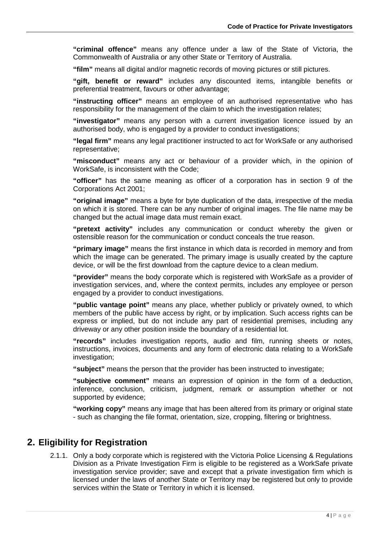**"criminal offence"** means any offence under a law of the State of Victoria, the Commonwealth of Australia or any other State or Territory of Australia.

**"film"** means all digital and/or magnetic records of moving pictures or still pictures.

**"gift, benefit or reward"** includes any discounted items, intangible benefits or preferential treatment, favours or other advantage;

**"instructing officer"** means an employee of an authorised representative who has responsibility for the management of the claim to which the investigation relates;

**"investigator"** means any person with a current investigation licence issued by an authorised body, who is engaged by a provider to conduct investigations;

**"legal firm"** means any legal practitioner instructed to act for WorkSafe or any authorised representative;

**"misconduct"** means any act or behaviour of a provider which, in the opinion of WorkSafe, is inconsistent with the Code;

**"officer"** has the same meaning as officer of a corporation has in section 9 of the Corporations Act 2001;

**"original image"** means a byte for byte duplication of the data, irrespective of the media on which it is stored. There can be any number of original images. The file name may be changed but the actual image data must remain exact.

**"pretext activity"** includes any communication or conduct whereby the given or ostensible reason for the communication or conduct conceals the true reason.

**"primary image"** means the first instance in which data is recorded in memory and from which the image can be generated. The primary image is usually created by the capture device, or will be the first download from the capture device to a clean medium.

**"provider"** means the body corporate which is registered with WorkSafe as a provider of investigation services, and, where the context permits, includes any employee or person engaged by a provider to conduct investigations.

**"public vantage point"** means any place, whether publicly or privately owned, to which members of the public have access by right, or by implication. Such access rights can be express or implied, but do not include any part of residential premises, including any driveway or any other position inside the boundary of a residential lot.

**"records"** includes investigation reports, audio and film, running sheets or notes, instructions, invoices, documents and any form of electronic data relating to a WorkSafe investigation;

**"subject"** means the person that the provider has been instructed to investigate;

**"subjective comment"** means an expression of opinion in the form of a deduction, inference, conclusion, criticism, judgment, remark or assumption whether or not supported by evidence;

**"working copy"** means any image that has been altered from its primary or original state - such as changing the file format, orientation, size, cropping, filtering or brightness.

## <span id="page-3-0"></span>**2. Eligibility for Registration**

2.1.1. Only a body corporate which is registered with the Victoria Police Licensing & Regulations Division as a Private Investigation Firm is eligible to be registered as a WorkSafe private investigation service provider; save and except that a private investigation firm which is licensed under the laws of another State or Territory may be registered but only to provide services within the State or Territory in which it is licensed.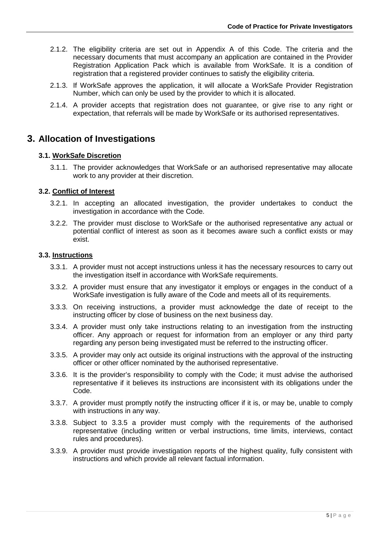- 2.1.2. The eligibility criteria are set out in Appendix A of this Code. The criteria and the necessary documents that must accompany an application are contained in the Provider Registration Application Pack which is available from WorkSafe. It is a condition of registration that a registered provider continues to satisfy the eligibility criteria.
- 2.1.3. If WorkSafe approves the application, it will allocate a WorkSafe Provider Registration Number, which can only be used by the provider to which it is allocated.
- 2.1.4. A provider accepts that registration does not guarantee, or give rise to any right or expectation, that referrals will be made by WorkSafe or its authorised representatives.

## <span id="page-4-0"></span>**3. Allocation of Investigations**

## <span id="page-4-1"></span>**3.1. WorkSafe Discretion**

3.1.1. The provider acknowledges that WorkSafe or an authorised representative may allocate work to any provider at their discretion.

## <span id="page-4-2"></span>**3.2. Conflict of Interest**

- 3.2.1. In accepting an allocated investigation, the provider undertakes to conduct the investigation in accordance with the Code.
- 3.2.2. The provider must disclose to WorkSafe or the authorised representative any actual or potential conflict of interest as soon as it becomes aware such a conflict exists or may exist.

## <span id="page-4-3"></span>**3.3. Instructions**

- 3.3.1. A provider must not accept instructions unless it has the necessary resources to carry out the investigation itself in accordance with WorkSafe requirements.
- 3.3.2. A provider must ensure that any investigator it employs or engages in the conduct of a WorkSafe investigation is fully aware of the Code and meets all of its requirements.
- 3.3.3. On receiving instructions, a provider must acknowledge the date of receipt to the instructing officer by close of business on the next business day.
- 3.3.4. A provider must only take instructions relating to an investigation from the instructing officer. Any approach or request for information from an employer or any third party regarding any person being investigated must be referred to the instructing officer.
- 3.3.5. A provider may only act outside its original instructions with the approval of the instructing officer or other officer nominated by the authorised representative.
- 3.3.6. It is the provider's responsibility to comply with the Code; it must advise the authorised representative if it believes its instructions are inconsistent with its obligations under the Code.
- 3.3.7. A provider must promptly notify the instructing officer if it is, or may be, unable to comply with instructions in any way.
- 3.3.8. Subject to 3.3.5 a provider must comply with the requirements of the authorised representative (including written or verbal instructions, time limits, interviews, contact rules and procedures).
- 3.3.9. A provider must provide investigation reports of the highest quality, fully consistent with instructions and which provide all relevant factual information.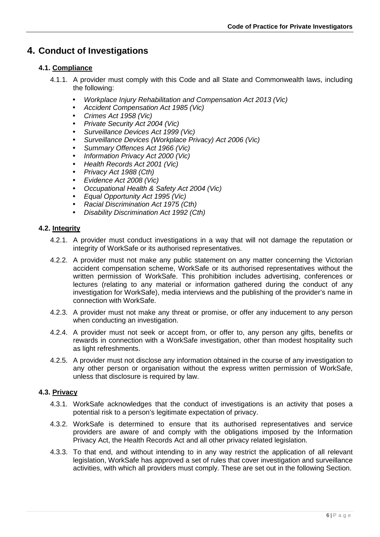## <span id="page-5-0"></span>**4. Conduct of Investigations**

## <span id="page-5-1"></span>**4.1. Compliance**

- 4.1.1. A provider must comply with this Code and all State and Commonwealth laws, including the following:
	- *Workplace Injury Rehabilitation and Compensation Act 2013 (Vic)*
	- *Accident Compensation Act 1985 (Vic)*
	- *Crimes Act 1958 (Vic)*
	- *Private Security Act 2004 (Vic)*
	- *Surveillance Devices Act 1999 (Vic)*
	- *Surveillance Devices (Workplace Privacy) Act 2006 (Vic)*
	- *Summary Offences Act 1966 (Vic)*
	- *Information Privacy Act 2000 (Vic)*
	- *Health Records Act 2001 (Vic)*
	- *Privacy Act 1988 (Cth)*
	- *Evidence Act 2008 (Vic)*
	- *Occupational Health & Safety Act 2004 (Vic)*
	- *Equal Opportunity Act 1995 (Vic)*
	- *Racial Discrimination Act 1975 (Cth)*
	- *Disability Discrimination Act 1992 (Cth)*

## <span id="page-5-2"></span>**4.2. Integrity**

- 4.2.1. A provider must conduct investigations in a way that will not damage the reputation or integrity of WorkSafe or its authorised representatives.
- 4.2.2. A provider must not make any public statement on any matter concerning the Victorian accident compensation scheme, WorkSafe or its authorised representatives without the written permission of WorkSafe. This prohibition includes advertising, conferences or lectures (relating to any material or information gathered during the conduct of any investigation for WorkSafe), media interviews and the publishing of the provider's name in connection with WorkSafe.
- 4.2.3. A provider must not make any threat or promise, or offer any inducement to any person when conducting an investigation.
- 4.2.4. A provider must not seek or accept from, or offer to, any person any gifts, benefits or rewards in connection with a WorkSafe investigation, other than modest hospitality such as light refreshments.
- 4.2.5. A provider must not disclose any information obtained in the course of any investigation to any other person or organisation without the express written permission of WorkSafe, unless that disclosure is required by law.

## <span id="page-5-3"></span>**4.3. Privacy**

- 4.3.1. WorkSafe acknowledges that the conduct of investigations is an activity that poses a potential risk to a person's legitimate expectation of privacy.
- 4.3.2. WorkSafe is determined to ensure that its authorised representatives and service providers are aware of and comply with the obligations imposed by the Information Privacy Act, the Health Records Act and all other privacy related legislation.
- 4.3.3. To that end, and without intending to in any way restrict the application of all relevant legislation, WorkSafe has approved a set of rules that cover investigation and surveillance activities, with which all providers must comply. These are set out in the following Section.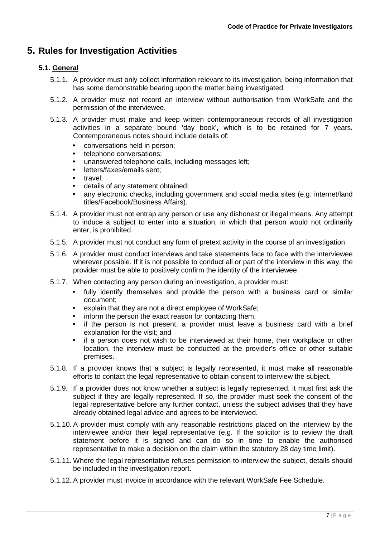## <span id="page-6-0"></span>**5. Rules for Investigation Activities**

## <span id="page-6-1"></span>**5.1. General**

- 5.1.1. A provider must only collect information relevant to its investigation, being information that has some demonstrable bearing upon the matter being investigated.
- 5.1.2. A provider must not record an interview without authorisation from WorkSafe and the permission of the interviewee.
- 5.1.3. A provider must make and keep written contemporaneous records of all investigation activities in a separate bound 'day book', which is to be retained for 7 years. Contemporaneous notes should include details of:
	- conversations held in person;
	- telephone conversations;
	- unanswered telephone calls, including messages left;
	- letters/faxes/emails sent;
	- travel;
	- details of any statement obtained;
	- any electronic checks, including government and social media sites (e.g. internet/land titles/Facebook/Business Affairs).
- 5.1.4. A provider must not entrap any person or use any dishonest or illegal means. Any attempt to induce a subject to enter into a situation, in which that person would not ordinarily enter, is prohibited.
- 5.1.5. A provider must not conduct any form of pretext activity in the course of an investigation.
- 5.1.6. A provider must conduct interviews and take statements face to face with the interviewee wherever possible. If it is not possible to conduct all or part of the interview in this way, the provider must be able to positively confirm the identity of the interviewee.
- 5.1.7. When contacting any person during an investigation, a provider must:
	- fully identify themselves and provide the person with a business card or similar document;
	- explain that they are not a direct employee of WorkSafe;
	- inform the person the exact reason for contacting them;
	- if the person is not present, a provider must leave a business card with a brief explanation for the visit; and
	- if a person does not wish to be interviewed at their home, their workplace or other location, the interview must be conducted at the provider's office or other suitable premises.
- 5.1.8. If a provider knows that a subject is legally represented, it must make all reasonable efforts to contact the legal representative to obtain consent to interview the subject.
- 5.1.9. If a provider does not know whether a subject is legally represented, it must first ask the subject if they are legally represented. If so, the provider must seek the consent of the legal representative before any further contact, unless the subject advises that they have already obtained legal advice and agrees to be interviewed.
- 5.1.10. A provider must comply with any reasonable restrictions placed on the interview by the interviewee and/or their legal representative (e.g. If the solicitor is to review the draft statement before it is signed and can do so in time to enable the authorised representative to make a decision on the claim within the statutory 28 day time limit).
- 5.1.11. Where the legal representative refuses permission to interview the subject, details should be included in the investigation report.
- 5.1.12. A provider must invoice in accordance with the relevant WorkSafe Fee Schedule.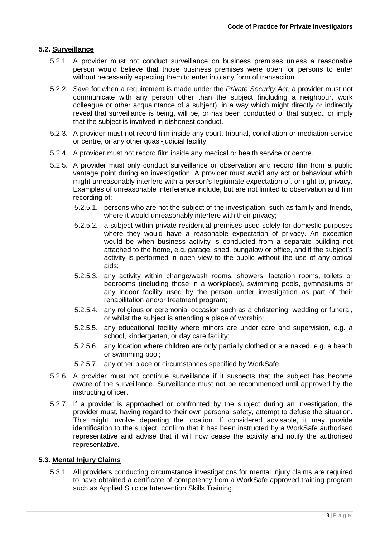## <span id="page-7-0"></span>**5.2. Surveillance**

- 5.2.1. A provider must not conduct surveillance on business premises unless a reasonable person would believe that those business premises were open for persons to enter without necessarily expecting them to enter into any form of transaction.
- 5.2.2. Save for when a requirement is made under the *Private Security Act*, a provider must not communicate with any person other than the subject (including a neighbour, work colleague or other acquaintance of a subject), in a way which might directly or indirectly reveal that surveillance is being, will be, or has been conducted of that subject, or imply that the subject is involved in dishonest conduct.
- 5.2.3. A provider must not record film inside any court, tribunal, conciliation or mediation service or centre, or any other quasi-judicial facility.
- 5.2.4. A provider must not record film inside any medical or health service or centre.
- 5.2.5. A provider must only conduct surveillance or observation and record film from a public vantage point during an investigation. A provider must avoid any act or behaviour which might unreasonably interfere with a person's legitimate expectation of, or right to, privacy. Examples of unreasonable interference include, but are not limited to observation and film recording of:
	- 5.2.5.1. persons who are not the subject of the investigation, such as family and friends, where it would unreasonably interfere with their privacy;
	- 5.2.5.2. a subject within private residential premises used solely for domestic purposes where they would have a reasonable expectation of privacy. An exception would be when business activity is conducted from a separate building not attached to the home, e.g. garage, shed, bungalow or office, and if the subject's activity is performed in open view to the public without the use of any optical aids;
	- 5.2.5.3. any activity within change/wash rooms, showers, lactation rooms, toilets or bedrooms (including those in a workplace), swimming pools, gymnasiums or any indoor facility used by the person under investigation as part of their rehabilitation and/or treatment program;
	- 5.2.5.4. any religious or ceremonial occasion such as a christening, wedding or funeral, or whilst the subject is attending a place of worship;
	- 5.2.5.5. any educational facility where minors are under care and supervision, e.g. a school, kindergarten, or day care facility;
	- 5.2.5.6. any location where children are only partially clothed or are naked, e.g. a beach or swimming pool;
	- 5.2.5.7. any other place or circumstances specified by WorkSafe.
- 5.2.6. A provider must not continue surveillance if it suspects that the subject has become aware of the surveillance. Surveillance must not be recommenced until approved by the instructing officer.
- 5.2.7. If a provider is approached or confronted by the subject during an investigation, the provider must, having regard to their own personal safety, attempt to defuse the situation. This might involve departing the location. If considered advisable, it may provide identification to the subject, confirm that it has been instructed by a WorkSafe authorised representative and advise that it will now cease the activity and notify the authorised representative.

## <span id="page-7-1"></span>**5.3. Mental Injury Claims**

5.3.1. All providers conducting circumstance investigations for mental injury claims are required to have obtained a certificate of competency from a WorkSafe approved training program such as Applied Suicide Intervention Skills Training.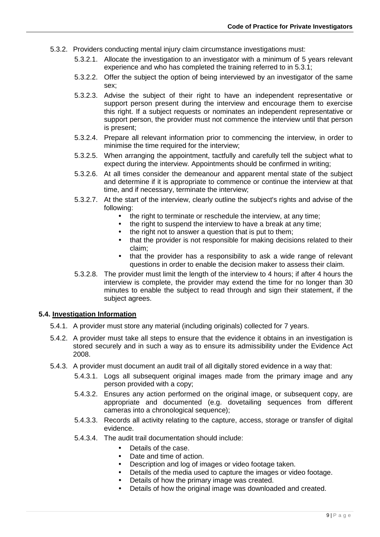- 5.3.2. Providers conducting mental injury claim circumstance investigations must:
	- 5.3.2.1. Allocate the investigation to an investigator with a minimum of 5 years relevant experience and who has completed the training referred to in 5.3.1;
	- 5.3.2.2. Offer the subject the option of being interviewed by an investigator of the same sex;
	- 5.3.2.3. Advise the subject of their right to have an independent representative or support person present during the interview and encourage them to exercise this right. If a subject requests or nominates an independent representative or support person, the provider must not commence the interview until that person is present;
	- 5.3.2.4. Prepare all relevant information prior to commencing the interview, in order to minimise the time required for the interview;
	- 5.3.2.5. When arranging the appointment, tactfully and carefully tell the subject what to expect during the interview. Appointments should be confirmed in writing;
	- 5.3.2.6. At all times consider the demeanour and apparent mental state of the subject and determine if it is appropriate to commence or continue the interview at that time, and if necessary, terminate the interview;
	- 5.3.2.7. At the start of the interview, clearly outline the subject's rights and advise of the following:
		- the right to terminate or reschedule the interview, at any time;
		- the right to suspend the interview to have a break at any time;
		- the right not to answer a question that is put to them;<br>• that the provider is not responsible for making decision
		- that the provider is not responsible for making decisions related to their claim;
		- that the provider has a responsibility to ask a wide range of relevant questions in order to enable the decision maker to assess their claim.
	- 5.3.2.8. The provider must limit the length of the interview to 4 hours; if after 4 hours the interview is complete, the provider may extend the time for no longer than 30 minutes to enable the subject to read through and sign their statement, if the subject agrees.

## <span id="page-8-0"></span>**5.4. Investigation Information**

- 5.4.1. A provider must store any material (including originals) collected for 7 years.
- 5.4.2. A provider must take all steps to ensure that the evidence it obtains in an investigation is stored securely and in such a way as to ensure its admissibility under the Evidence Act 2008.
- 5.4.3. A provider must document an audit trail of all digitally stored evidence in a way that:
	- 5.4.3.1. Logs all subsequent original images made from the primary image and any person provided with a copy;
	- 5.4.3.2. Ensures any action performed on the original image, or subsequent copy, are appropriate and documented (e.g. dovetailing sequences from different cameras into a chronological sequence);
	- 5.4.3.3. Records all activity relating to the capture, access, storage or transfer of digital evidence.
	- 5.4.3.4. The audit trail documentation should include:
		- Details of the case.
		- Date and time of action.<br>• Description and log of in
		- Description and log of images or video footage taken.<br>• Details of the media used to capture the images or video
		- Details of the media used to capture the images or video footage.
		- Details of how the primary image was created.
		- Details of how the original image was downloaded and created.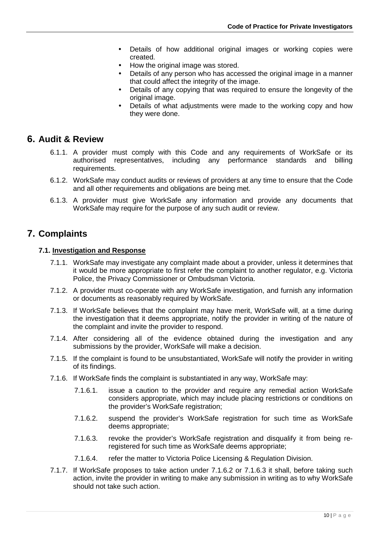- Details of how additional original images or working copies were created.
- How the original image was stored.
- Details of any person who has accessed the original image in a manner that could affect the integrity of the image.
- Details of any copying that was required to ensure the longevity of the original image.
- Details of what adjustments were made to the working copy and how they were done.

## <span id="page-9-0"></span>**6. Audit & Review**

- 6.1.1. A provider must comply with this Code and any requirements of WorkSafe or its authorised representatives, including any performance standards and billing requirements.
- 6.1.2. WorkSafe may conduct audits or reviews of providers at any time to ensure that the Code and all other requirements and obligations are being met.
- 6.1.3. A provider must give WorkSafe any information and provide any documents that WorkSafe may require for the purpose of any such audit or review.

## <span id="page-9-1"></span>**7. Complaints**

## <span id="page-9-2"></span>**7.1. Investigation and Response**

- 7.1.1. WorkSafe may investigate any complaint made about a provider, unless it determines that it would be more appropriate to first refer the complaint to another regulator, e.g. Victoria Police, the Privacy Commissioner or Ombudsman Victoria.
- 7.1.2. A provider must co-operate with any WorkSafe investigation, and furnish any information or documents as reasonably required by WorkSafe.
- 7.1.3. If WorkSafe believes that the complaint may have merit, WorkSafe will, at a time during the investigation that it deems appropriate, notify the provider in writing of the nature of the complaint and invite the provider to respond.
- 7.1.4. After considering all of the evidence obtained during the investigation and any submissions by the provider, WorkSafe will make a decision.
- 7.1.5. If the complaint is found to be unsubstantiated, WorkSafe will notify the provider in writing of its findings.
- 7.1.6. If WorkSafe finds the complaint is substantiated in any way, WorkSafe may:
	- 7.1.6.1. issue a caution to the provider and require any remedial action WorkSafe considers appropriate, which may include placing restrictions or conditions on the provider's WorkSafe registration;
	- 7.1.6.2. suspend the provider's WorkSafe registration for such time as WorkSafe deems appropriate;
	- 7.1.6.3. revoke the provider's WorkSafe registration and disqualify it from being reregistered for such time as WorkSafe deems appropriate;
	- 7.1.6.4. refer the matter to Victoria Police Licensing & Regulation Division.
- 7.1.7. If WorkSafe proposes to take action under 7.1.6.2 or 7.1.6.3 it shall, before taking such action, invite the provider in writing to make any submission in writing as to why WorkSafe should not take such action.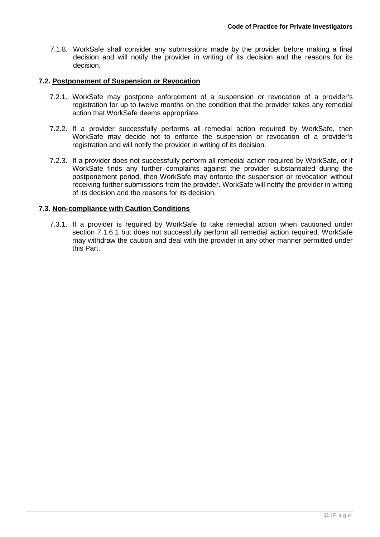7.1.8. WorkSafe shall consider any submissions made by the provider before making a final decision and will notify the provider in writing of its decision and the reasons for its decision.

## <span id="page-10-0"></span>**7.2. Postponement of Suspension or Revocation**

- 7.2.1. WorkSafe may postpone enforcement of a suspension or revocation of a provider's registration for up to twelve months on the condition that the provider takes any remedial action that WorkSafe deems appropriate.
- 7.2.2. If a provider successfully performs all remedial action required by WorkSafe, then WorkSafe may decide not to enforce the suspension or revocation of a provider's registration and will notify the provider in writing of its decision.
- 7.2.3. If a provider does not successfully perform all remedial action required by WorkSafe, or if WorkSafe finds any further complaints against the provider substantiated during the postponement period, then WorkSafe may enforce the suspension or revocation without receiving further submissions from the provider. WorkSafe will notify the provider in writing of its decision and the reasons for its decision.

## <span id="page-10-1"></span>**7.3. Non-compliance with Caution Conditions**

7.3.1. If a provider is required by WorkSafe to take remedial action when cautioned under section 7.1.6.1 but does not successfully perform all remedial action required, WorkSafe may withdraw the caution and deal with the provider in any other manner permitted under this Part.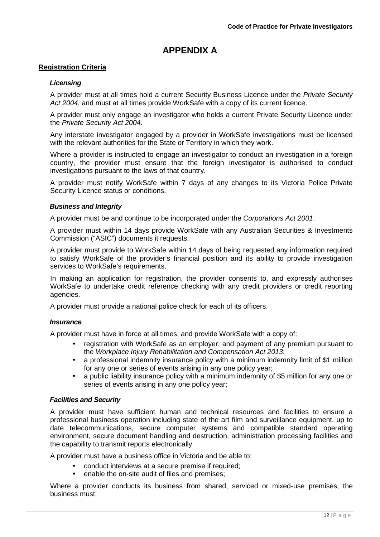## **APPENDIX A**

## <span id="page-11-1"></span><span id="page-11-0"></span>**Registration Criteria**

## *Licensing*

A provider must at all times hold a current Security Business Licence under the *Private Security Act 2004*, and must at all times provide WorkSafe with a copy of its current licence.

A provider must only engage an investigator who holds a current Private Security Licence under the *Private Security Act 2004*.

Any interstate investigator engaged by a provider in WorkSafe investigations must be licensed with the relevant authorities for the State or Territory in which they work.

Where a provider is instructed to engage an investigator to conduct an investigation in a foreign country, the provider must ensure that the foreign investigator is authorised to conduct investigations pursuant to the laws of that country.

A provider must notify WorkSafe within 7 days of any changes to its Victoria Police Private Security Licence status or conditions.

#### *Business and Integrity*

A provider must be and continue to be incorporated under the *Corporations Act 2001*.

A provider must within 14 days provide WorkSafe with any Australian Securities & Investments Commission ("ASIC") documents it requests.

A provider must provide to WorkSafe within 14 days of being requested any information required to satisfy WorkSafe of the provider's financial position and its ability to provide investigation services to WorkSafe's requirements.

In making an application for registration, the provider consents to, and expressly authorises WorkSafe to undertake credit reference checking with any credit providers or credit reporting agencies.

A provider must provide a national police check for each of its officers.

#### *Insurance*

A provider must have in force at all times, and provide WorkSafe with a copy of:

- registration with WorkSafe as an employer, and payment of any premium pursuant to the *Workplace Injury Rehabilitation and Compensation Act 2013*;
- a professional indemnity insurance policy with a minimum indemnity limit of \$1 million for any one or series of events arising in any one policy year;
- a public liability insurance policy with a minimum indemnity of \$5 million for any one or series of events arising in any one policy year;

#### *Facilities and Security*

A provider must have sufficient human and technical resources and facilities to ensure a professional business operation including state of the art film and surveillance equipment, up to date telecommunications, secure computer systems and compatible standard operating environment, secure document handling and destruction, administration processing facilities and the capability to transmit reports electronically.

A provider must have a business office in Victoria and be able to:

- conduct interviews at a secure premise if required;
- enable the on-site audit of files and premises;

Where a provider conducts its business from shared, serviced or mixed-use premises, the business must: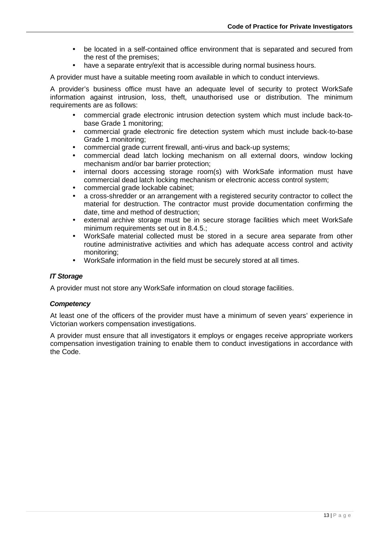- be located in a self-contained office environment that is separated and secured from the rest of the premises;
- have a separate entry/exit that is accessible during normal business hours.

A provider must have a suitable meeting room available in which to conduct interviews.

A provider's business office must have an adequate level of security to protect WorkSafe information against intrusion, loss, theft, unauthorised use or distribution. The minimum requirements are as follows:

- commercial grade electronic intrusion detection system which must include back-tobase Grade 1 monitoring;
- commercial grade electronic fire detection system which must include back-to-base Grade 1 monitoring;
- commercial grade current firewall, anti-virus and back-up systems;
- commercial dead latch locking mechanism on all external doors, window locking mechanism and/or bar barrier protection;
- internal doors accessing storage room(s) with WorkSafe information must have commercial dead latch locking mechanism or electronic access control system;
- commercial grade lockable cabinet;
- a cross-shredder or an arrangement with a registered security contractor to collect the material for destruction. The contractor must provide documentation confirming the date, time and method of destruction;
- external archive storage must be in secure storage facilities which meet WorkSafe minimum requirements set out in 8.4.5.;
- WorkSafe material collected must be stored in a secure area separate from other routine administrative activities and which has adequate access control and activity monitoring;
- WorkSafe information in the field must be securely stored at all times.

## *IT Storage*

A provider must not store any WorkSafe information on cloud storage facilities.

#### *Competency*

At least one of the officers of the provider must have a minimum of seven years' experience in Victorian workers compensation investigations.

A provider must ensure that all investigators it employs or engages receive appropriate workers compensation investigation training to enable them to conduct investigations in accordance with the Code.